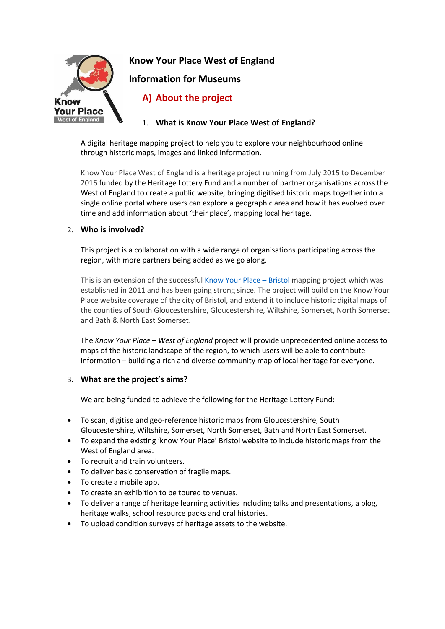

**Know Your Place West of England**

**Information for Museums**

# **A) About the project**

1. **What is Know Your Place West of England?**

A digital heritage mapping project to help you to explore your neighbourhood online through historic maps, images and linked information.

Know Your Place West of England is a heritage project running from July 2015 to December 2016 funded by the Heritage Lottery Fund and a number of partner organisations across the West of England to create a public website, bringing digitised historic maps together into a single online portal where users can explore a geographic area and how it has evolved over time and add information about 'their place', mapping local heritage.

## 2. **Who is involved?**

This project is a collaboration with a wide range of organisations participating across the region, with more partners being added as we go along.

This is an extension of the successful [Know Your Place](http://www.bristol.gov.uk/page/planning-and-building-regulations/know-your-place) – Bristol mapping project which was established in 2011 and has been going strong since. The project will build on the Know Your Place website coverage of the city of Bristol, and extend it to include historic digital maps of the counties of South Gloucestershire, Gloucestershire, Wiltshire, Somerset, North Somerset and Bath & North East Somerset.

The *Know Your Place – West of England* project will provide unprecedented online access to maps of the historic landscape of the region, to which users will be able to contribute information – building a rich and diverse community map of local heritage for everyone.

## 3. **What are the project's aims?**

We are being funded to achieve the following for the Heritage Lottery Fund:

- To scan, digitise and geo-reference historic maps from Gloucestershire, South Gloucestershire, Wiltshire, Somerset, North Somerset, Bath and North East Somerset.
- To expand the existing 'know Your Place' Bristol website to include historic maps from the West of England area.
- To recruit and train volunteers.
- To deliver basic conservation of fragile maps.
- To create a mobile app.
- To create an exhibition to be toured to venues.
- To deliver a range of heritage learning activities including talks and presentations, a blog, heritage walks, school resource packs and oral histories.
- To upload condition surveys of heritage assets to the website.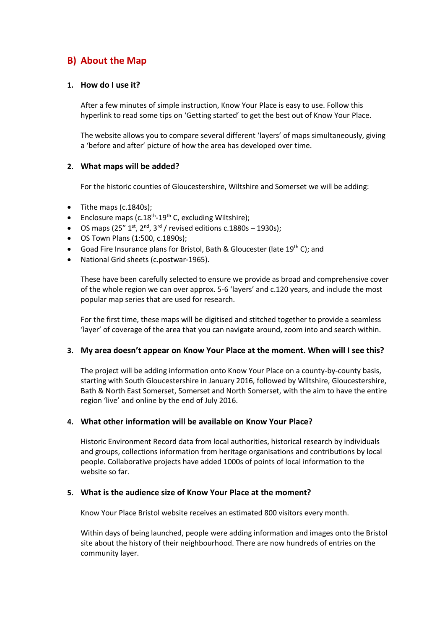# **B) About the Map**

### **1. How do I use it?**

After a few minutes of simple instruction, Know Your Place is easy to use. Follow this hyperlink to read some tips on 'Getting started' to get the best out of Know Your Place.

The website allows you to compare several different 'layers' of maps simultaneously, giving a 'before and after' picture of how the area has developed over time.

### **2. What maps will be added?**

For the historic counties of Gloucestershire, Wiltshire and Somerset we will be adding:

- $\bullet$  Tithe maps (c.1840s);
- Enclosure maps (c.18<sup>th</sup>-19<sup>th</sup> C, excluding Wiltshire);
- $\bullet$  OS maps (25" 1<sup>st</sup>, 2<sup>nd</sup>, 3<sup>rd</sup> / revised editions c.1880s 1930s);
- OS Town Plans (1:500, c.1890s);
- Goad Fire Insurance plans for Bristol, Bath & Gloucester (late 19<sup>th</sup> C); and
- National Grid sheets (c.postwar-1965).

These have been carefully selected to ensure we provide as broad and comprehensive cover of the whole region we can over approx. 5-6 'layers' and c.120 years, and include the most popular map series that are used for research.

For the first time, these maps will be digitised and stitched together to provide a seamless 'layer' of coverage of the area that you can navigate around, zoom into and search within.

#### **3. My area doesn't appear on Know Your Place at the moment. When will I see this?**

The project will be adding information onto Know Your Place on a county-by-county basis, starting with South Gloucestershire in January 2016, followed by Wiltshire, Gloucestershire, Bath & North East Somerset, Somerset and North Somerset, with the aim to have the entire region 'live' and online by the end of July 2016.

#### **4. What other information will be available on Know Your Place?**

Historic Environment Record data from local authorities, historical research by individuals and groups, collections information from heritage organisations and contributions by local people. Collaborative projects have added 1000s of points of local information to the website so far.

#### **5. What is the audience size of Know Your Place at the moment?**

Know Your Place Bristol website receives an estimated 800 visitors every month.

Within days of being launched, people were adding information and images onto the Bristol site about the history of their neighbourhood. There are now hundreds of entries on the community layer.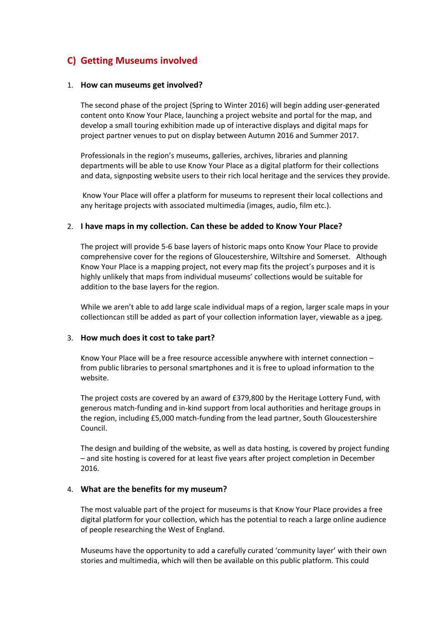# **C) Getting Museums involved**

#### 1. **How can museums get involved?**

The second phase of the project (Spring to Winter 2016) will begin adding user-generated content onto Know Your Place, launching a project website and portal for the map, and develop a small touring exhibition made up of interactive displays and digital maps for project partner venues to put on display between Autumn 2016 and Summer 2017.

Professionals in the region's museums, galleries, archives, libraries and planning departments will be able to use Know Your Place as a digital platform for their collections and data, signposting website users to their rich local heritage and the services they provide.

Know Your Place will offer a platform for museums to represent their local collections and any heritage projects with associated multimedia (images, audio, film etc.).

#### 2. **I have maps in my collection. Can these be added to Know Your Place?**

The project will provide 5-6 base layers of historic maps onto Know Your Place to provide comprehensive cover for the regions of Gloucestershire, Wiltshire and Somerset. Although Know Your Place is a mapping project, not every map fits the project's purposes and it is highly unlikely that maps from individual museums' collections would be suitable for addition to the base layers for the region.

While we aren't able to add large scale individual maps of a region, larger scale maps in your collectioncan still be added as part of your collection information layer, viewable as a jpeg.

#### 3. **How much does it cost to take part?**

Know Your Place will be a free resource accessible anywhere with internet connection – from public libraries to personal smartphones and it is free to upload information to the website.

The project costs are covered by an award of £379,800 by the Heritage Lottery Fund, with generous match-funding and in-kind support from local authorities and heritage groups in the region, including £5,000 match-funding from the lead partner, South Gloucestershire Council.

The design and building of the website, as well as data hosting, is covered by project funding – and site hosting is covered for at least five years after project completion in December 2016.

#### 4. **What are the benefits for my museum?**

The most valuable part of the project for museums is that Know Your Place provides a free digital platform for your collection, which has the potential to reach a large online audience of people researching the West of England.

Museums have the opportunity to add a carefully curated 'community layer' with their own stories and multimedia, which will then be available on this public platform. This could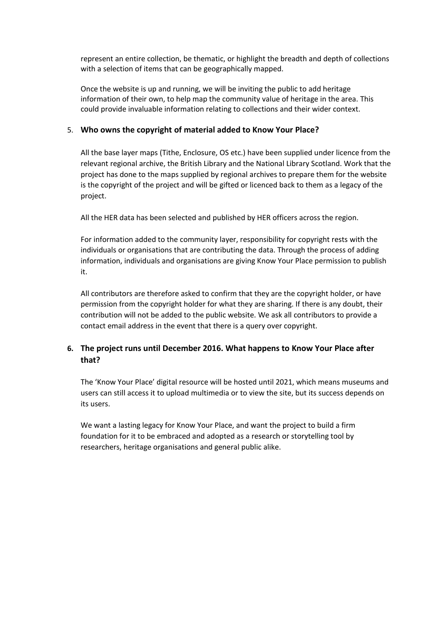represent an entire collection, be thematic, or highlight the breadth and depth of collections with a selection of items that can be geographically mapped.

Once the website is up and running, we will be inviting the public to add heritage information of their own, to help map the community value of heritage in the area. This could provide invaluable information relating to collections and their wider context.

## 5. **Who owns the copyright of material added to Know Your Place?**

All the base layer maps (Tithe, Enclosure, OS etc.) have been supplied under licence from the relevant regional archive, the British Library and the National Library Scotland. Work that the project has done to the maps supplied by regional archives to prepare them for the website is the copyright of the project and will be gifted or licenced back to them as a legacy of the project.

All the HER data has been selected and published by HER officers across the region.

For information added to the community layer, responsibility for copyright rests with the individuals or organisations that are contributing the data. Through the process of adding information, individuals and organisations are giving Know Your Place permission to publish it.

All contributors are therefore asked to confirm that they are the copyright holder, or have permission from the copyright holder for what they are sharing. If there is any doubt, their contribution will not be added to the public website. We ask all contributors to provide a contact email address in the event that there is a query over copyright.

## **6. The project runs until December 2016. What happens to Know Your Place after that?**

The 'Know Your Place' digital resource will be hosted until 2021, which means museums and users can still access it to upload multimedia or to view the site, but its success depends on its users.

We want a lasting legacy for Know Your Place, and want the project to build a firm foundation for it to be embraced and adopted as a research or storytelling tool by researchers, heritage organisations and general public alike.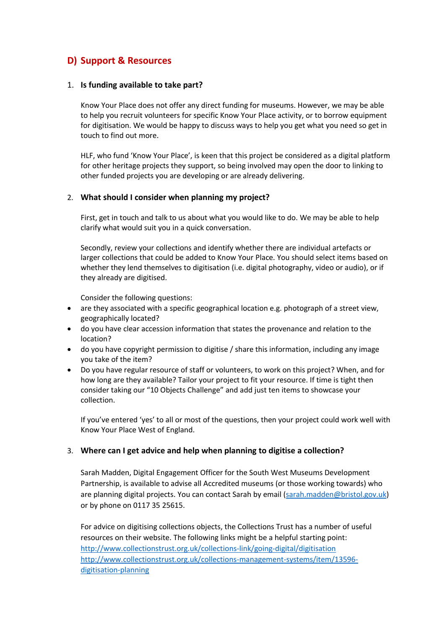# **D) Support & Resources**

### 1. **Is funding available to take part?**

Know Your Place does not offer any direct funding for museums. However, we may be able to help you recruit volunteers for specific Know Your Place activity, or to borrow equipment for digitisation. We would be happy to discuss ways to help you get what you need so get in touch to find out more.

HLF, who fund 'Know Your Place', is keen that this project be considered as a digital platform for other heritage projects they support, so being involved may open the door to linking to other funded projects you are developing or are already delivering.

### 2. **What should I consider when planning my project?**

First, get in touch and talk to us about what you would like to do. We may be able to help clarify what would suit you in a quick conversation.

Secondly, review your collections and identify whether there are individual artefacts or larger collections that could be added to Know Your Place. You should select items based on whether they lend themselves to digitisation (i.e. digital photography, video or audio), or if they already are digitised.

Consider the following questions:

- are they associated with a specific geographical location e.g. photograph of a street view, geographically located?
- do you have clear accession information that states the provenance and relation to the location?
- do you have copyright permission to digitise / share this information, including any image you take of the item?
- Do you have regular resource of staff or volunteers, to work on this project? When, and for how long are they available? Tailor your project to fit your resource. If time is tight then consider taking our "10 Objects Challenge" and add just ten items to showcase your collection.

If you've entered 'yes' to all or most of the questions, then your project could work well with Know Your Place West of England.

## 3. **Where can I get advice and help when planning to digitise a collection?**

Sarah Madden, Digital Engagement Officer for the South West Museums Development Partnership, is available to advise all Accredited museums (or those working towards) who are planning digital projects. You can contact Sarah by email [\(sarah.madden@bristol.gov.uk\)](mailto:sarah.madden@bristol.gov.uk) or by phone on 0117 35 25615.

For advice on digitising collections objects, the Collections Trust has a number of useful resources on their website. The following links might be a helpful starting point: <http://www.collectionstrust.org.uk/collections-link/going-digital/digitisation> [http://www.collectionstrust.org.uk/collections-management-systems/item/13596](http://www.collectionstrust.org.uk/collections-management-systems/item/13596-digitisation-planning) [digitisation-planning](http://www.collectionstrust.org.uk/collections-management-systems/item/13596-digitisation-planning)